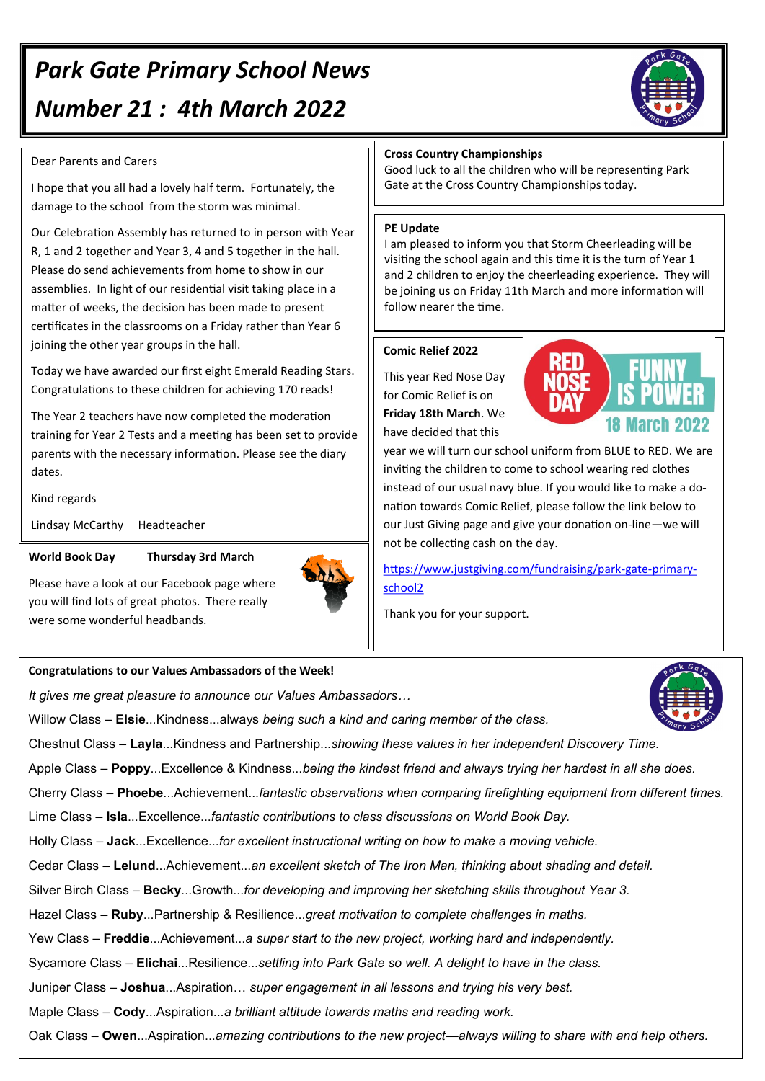# *Park Gate Primary School News Number 21 : 4th March 2022*

### Dear Parents and Carers

I hope that you all had a lovely half term. Fortunately, the damage to the school from the storm was minimal.

Our Celebration Assembly has returned to in person with Year R, 1 and 2 together and Year 3, 4 and 5 together in the hall. Please do send achievements from home to show in our assemblies. In light of our residential visit taking place in a matter of weeks, the decision has been made to present certificates in the classrooms on a Friday rather than Year 6 joining the other year groups in the hall.

Today we have awarded our first eight Emerald Reading Stars. Congratulations to these children for achieving 170 reads!

The Year 2 teachers have now completed the moderation training for Year 2 Tests and a meeting has been set to provide parents with the necessary information. Please see the diary dates.

#### Kind regards

Lindsay McCarthy Headteacher

#### **World Book Day Thursday 3rd March**

Please have a look at our Facebook page where you will find lots of great photos. There really were some wonderful headbands.

#### **Congratulations to our Values Ambassadors of the Week!**

*It gives me great pleasure to announce our Values Ambassadors…*

Willow Class – **Elsie**...Kindness...always *being such a kind and caring member of the class.*

Chestnut Class – **Layla**...Kindness and Partnership...*showing these values in her independent Discovery Time.*

Apple Class – **Poppy**...Excellence & Kindness...*being the kindest friend and always trying her hardest in all she does.*

Cherry Class – **Phoebe**...Achievement...*fantastic observations when comparing firefighting equipment from different times.*

Lime Class – **Isla**...Excellence...*fantastic contributions to class discussions on World Book Day.*

Holly Class – **Jack**...Excellence...*for excellent instructional writing on how to make a moving vehicle.*

Cedar Class – **Lelund**...Achievement...*an excellent sketch of The Iron Man, thinking about shading and detail.*

Silver Birch Class – **Becky**...Growth...*for developing and improving her sketching skills throughout Year 3.*

Hazel Class *–* **Ruby**...Partnership & Resilience...*great motivation to complete challenges in maths.*

Yew Class – **Freddie**...Achievement...*a super start to the new project, working hard and independently.*

Sycamore Class – **Elichai**...Resilience...*settling into Park Gate so well. A delight to have in the class.*

Juniper Class – **Joshua**...Aspiration… *super engagement in all lessons and trying his very best.*

Maple Class – **Cody**...Aspiration...*a brilliant attitude towards maths and reading work.*

Oak Class – **Owen**...Aspiration...*amazing contributions to the new project—always willing to share with and help others.*

#### **Cross Country Championships**

Good luck to all the children who will be representing Park Gate at the Cross Country Championships today.

#### **PE Update**

I am pleased to inform you that Storm Cheerleading will be visiting the school again and this time it is the turn of Year 1 and 2 children to enjoy the cheerleading experience. They will be joining us on Friday 11th March and more information will follow nearer the time.

#### **Comic Relief 2022**

This year Red Nose Day for Comic Relief is on **Friday 18th March**. We have decided that this



year we will turn our school uniform from BLUE to RED. We are inviting the children to come to school wearing red clothes instead of our usual navy blue. If you would like to make a donation towards Comic Relief, please follow the link below to our Just Giving page and give your donation on-line—we will not be collecting cash on the day.

[https://www.justgiving.com/fundraising/park](https://www.justgiving.com/fundraising/park-gate-primary-school2)-gate-primary[school2](https://www.justgiving.com/fundraising/park-gate-primary-school2)

Thank you for your support.